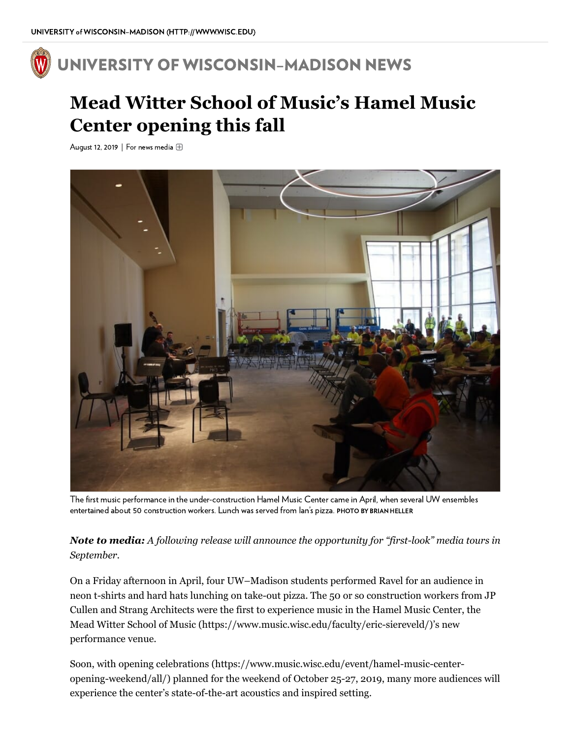## UNIVERSITY OF [WISCONSIN–MADISON](https://news.wisc.edu/) NEWS

## **Mead Witter School of Music's Hamel Music Center opening this fall**

August 12, 2019 | For news media



The first music performance in the under-construction Hamel Music Center came in April, when several UW ensembles entertained about 50 construction workers. Lunch was served from Ian's pizza. PHOTO BY BRIAN HELLER

*Note to media: A following release will announce the opportunity for "first-look" media tours in September.*

On a Friday afternoon in April, four UW–Madison students performed Ravel for an audience in neon t-shirts and hard hats lunching on take-out pizza. The 50 or so construction workers from JP Cullen and Strang Architects were the first to experience music in the Hamel Music Center, the Mead Witter School of Music [\(https://www.music.wisc.edu/faculty/eric-siereveld/\)](https://www.music.wisc.edu/faculty/eric-siereveld/)'s new performance venue.

Soon, with opening celebrations [\(https://www.music.wisc.edu/event/hamel-music-center](https://www.music.wisc.edu/event/hamel-music-center-opening-weekend/all/)opening-weekend/all/) planned for the weekend of October 25-27, 2019, many more audiences will experience the center's state-of-the-art acoustics and inspired setting.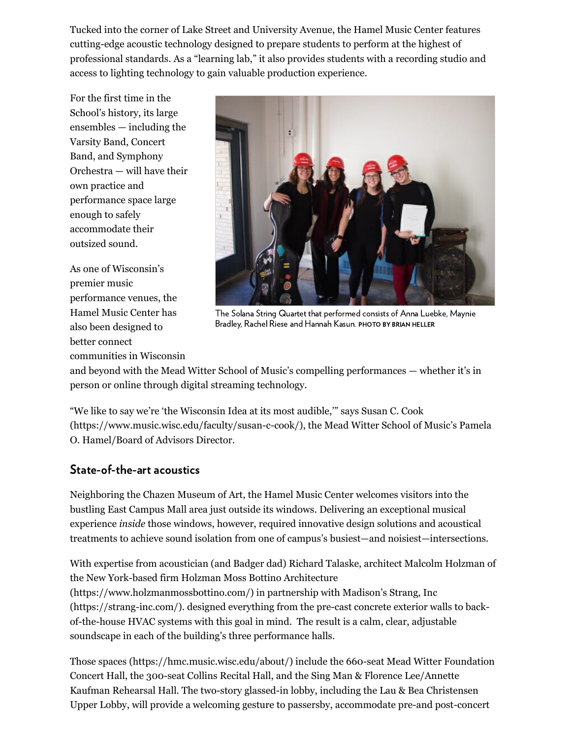Tucked into the corner of Lake Street and University Avenue, the Hamel Music Center features cutting-edge acoustic technology designed to prepare students to perform at the highest of professional standards. As a "learning lab," it also provides students with a recording studio and access to lighting technology to gain valuable production experience.

For the first time in the School's history, its large ensembles — including the Varsity Band, Concert Band, and Symphony Orchestra — will have their own practice and performance space large enough to safely accommodate their outsized sound.

As one of Wisconsin's premier music performance venues, the Hamel Music Center has also been designed to better connect communities in Wisconsin



The Solana String Quartet that performed consists of Anna Luebke, Maynie Bradley, Rachel Riese and Hannah Kasun. PHOTO BY BRIAN HELLER

and beyond with the Mead Witter School of Music's compelling performances — whether it's in person or online through digital streaming technology.

"We like to say we're 'the Wisconsin Idea at its most audible,'" says Susan C. Cook [\(https://www.music.wisc.edu/faculty/susan-c-cook/\),](https://www.music.wisc.edu/faculty/susan-c-cook/) the Mead Witter School of Music's Pamela O. Hamel/Board of Advisors Director.

## State-of-the-art acoustics

Neighboring the Chazen Museum of Art, the Hamel Music Center welcomes visitors into the bustling East Campus Mall area just outside its windows. Delivering an exceptional musical experience *inside* those windows, however, required innovative design solutions and acoustical treatments to achieve sound isolation from one of campus's busiest—and noisiest—intersections.

With expertise from acoustician (and Badger dad) Richard Talaske, architect Malcolm Holzman of the New York-based firm Holzman Moss Bottino Architecture [\(https://www.holzmanmossbottino.com/\)](https://www.holzmanmossbottino.com/) in partnership with Madison's Strang, Inc (https://strang-inc.com/). designed everything from the pre-cast concrete exterior walls to backof-the-house HVAC systems with this goal in mind. The result is a calm, clear, adjustable soundscape in each of the building's three performance halls.

Those spaces [\(https://hmc.music.wisc.edu/about/\)](https://hmc.music.wisc.edu/about/) include the 660-seat Mead Witter Foundation Concert Hall, the 300-seat Collins Recital Hall, and the Sing Man & Florence Lee/Annette Kaufman Rehearsal Hall. The two-story glassed-in lobby, including the Lau & Bea Christensen Upper Lobby, will provide a welcoming gesture to passersby, accommodate pre-and post-concert